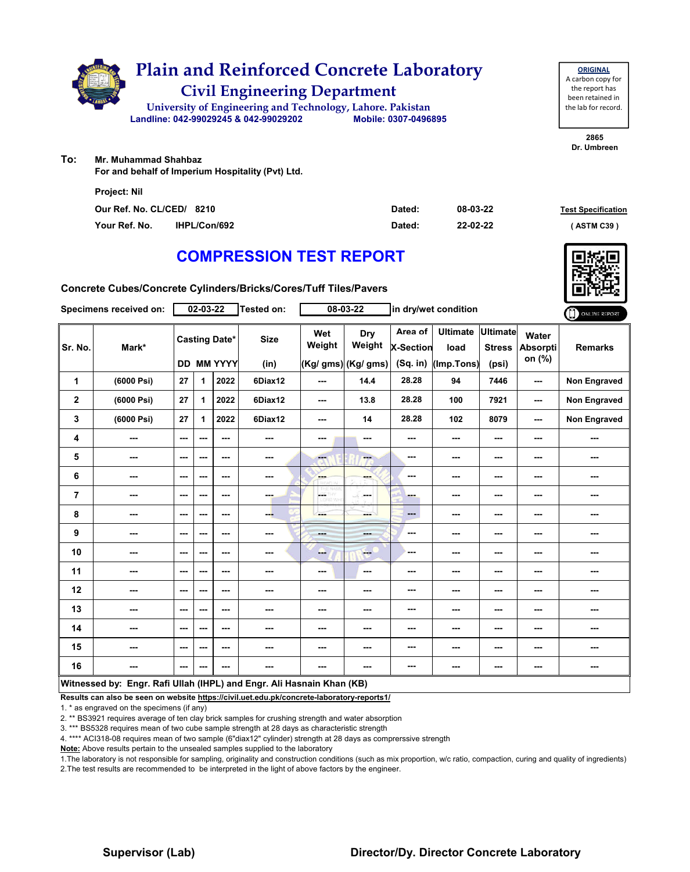

**ORIGINAL**

**To: Mr. Muhammad Shahbaz**

**For and behalf of Imperium Hospitality (Pvt) Ltd.**

| <b>Project: Nil</b>       |                     |        |          |                           |
|---------------------------|---------------------|--------|----------|---------------------------|
| Our Ref. No. CL/CED/ 8210 |                     | Dated: | 08-03-22 | <b>Test Specification</b> |
| Your Ref. No.             | <b>IHPL/Con/692</b> | Dated: | 22-02-22 | (ASTM C39)                |

# **COMPRESSION TEST REPORT**

**Concrete Cubes/Concrete Cylinders/Bricks/Cores/Tuff Tiles/Pavers**

|                         | Specimens received on:                                                |                          | 02-03-22 |                                           | <b>Tested on:</b>   |               | 08-03-22                             | in dry/wet condition                      |                                       |                                           |                             | ONLINE REPORT       |
|-------------------------|-----------------------------------------------------------------------|--------------------------|----------|-------------------------------------------|---------------------|---------------|--------------------------------------|-------------------------------------------|---------------------------------------|-------------------------------------------|-----------------------------|---------------------|
| Sr. No.                 | Mark*                                                                 |                          |          | <b>Casting Date*</b><br><b>DD MM YYYY</b> | <b>Size</b><br>(in) | Wet<br>Weight | Dry<br>Weight<br>(Kg/ gms) (Kg/ gms) | Area of<br><b>X-Section</b><br>$(Sq.$ in) | <b>Ultimate</b><br>load<br>(Imp.Tons) | <b>Ultimate</b><br><b>Stress</b><br>(psi) | Water<br>Absorpti<br>on (%) | <b>Remarks</b>      |
| 1                       | (6000 Psi)                                                            | 27                       | 1        | 2022                                      | 6Diax12             | ---           | 14.4                                 | 28.28                                     | 94                                    | 7446                                      | ---                         | <b>Non Engraved</b> |
| $\overline{\mathbf{2}}$ | (6000 Psi)                                                            | 27                       | 1        | 2022                                      | 6Diax12             | ---           | 13.8                                 | 28.28                                     | 100                                   | 7921                                      | ---                         | Non Engraved        |
| 3                       | (6000 Psi)                                                            | 27                       | 1        | 2022                                      | 6Diax12             | ---           | 14                                   | 28.28                                     | 102                                   | 8079                                      | ---                         | <b>Non Engraved</b> |
| 4                       | ---                                                                   | $\sim$                   | ---      | $\sim$ $\sim$                             | ---                 | ---           | ---                                  | ---                                       | ---                                   | ---                                       |                             | ---                 |
| 5                       | ---                                                                   | $--$                     | ---      | $\sim$ $\sim$                             | ---                 | $-1$          | ---                                  | $\sim$ $\sim$                             | ---                                   | ---                                       | ---                         | ---                 |
| 6                       | ---                                                                   | $--$                     | ---      | $\overline{\phantom{a}}$                  | $\sim$              | ---           | ---                                  | ---                                       | ---                                   | ---                                       | ---                         | ---                 |
| $\overline{7}$          | ---                                                                   | $\overline{\phantom{a}}$ | ---      | $\sim$ $\sim$                             | ---                 | LGS.<br>D.W.Y | ---                                  | ---                                       | ---                                   | ---                                       | ---                         | ---                 |
| 8                       | ---                                                                   | $--$                     | ---      | ---                                       | ---                 | ---           | ---                                  | $---$                                     | ---                                   | ---                                       | ---                         | ---                 |
| 9                       | ---                                                                   | $\overline{\phantom{a}}$ | ---      | ---                                       | ---                 | ---           | ---                                  | ---                                       | ---                                   | ---                                       | ---                         | ---                 |
| 10                      | ---                                                                   | $\sim$                   | ---      | $\sim$ $\sim$                             | ---                 | --            | <b>Free</b>                          | ---                                       | ---                                   | $\overline{\phantom{a}}$                  | ---                         | ---                 |
| 11                      | ---                                                                   | $\overline{\phantom{a}}$ | ---      | $\overline{\phantom{a}}$                  | ---                 | ---           | $\overline{\phantom{a}}$             | ---                                       | ---                                   | ---                                       |                             | ---                 |
| 12                      | ---                                                                   | ---                      | ---      | ---                                       | ---                 | ---           |                                      | ---                                       | ---                                   | ---                                       | ---                         | ---                 |
| 13                      | ---                                                                   | $\overline{\phantom{a}}$ | ---      | ---                                       | ---                 | ---           | ---                                  | ---                                       | ---                                   | ---                                       | ---                         | ---                 |
| 14                      | ---                                                                   | $\sim$ $\sim$            | ---      | $\sim$ $\sim$                             | ---                 | ---           | ---                                  | ---                                       | ---                                   | ---                                       | ---                         | ---                 |
| 15                      | ---                                                                   | ---                      | ---      | $\overline{\phantom{a}}$                  | ---                 | ---           | ---                                  | ---                                       | ---                                   | ---                                       | ---                         | ---                 |
| 16                      | ---                                                                   | $--$                     | ---      | ---                                       | ---                 | ---           | ---                                  | ---                                       | ---                                   | ---                                       | ---                         | ---                 |
|                         | Witnessed by: Engr. Rafi Ullah (IHPL) and Engr. Ali Hasnain Khan (KB) |                          |          |                                           |                     |               |                                      |                                           |                                       |                                           |                             |                     |

**Results can also be seen on website https://civil.uet.edu.pk/concrete-laboratory-reports1/**

1. \* as engraved on the specimens (if any)

2. \*\* BS3921 requires average of ten clay brick samples for crushing strength and water absorption

3. \*\*\* BS5328 requires mean of two cube sample strength at 28 days as characteristic strength

4. \*\*\*\* ACI318-08 requires mean of two sample (6"diax12" cylinder) strength at 28 days as comprerssive strength

**Note:** Above results pertain to the unsealed samples supplied to the laboratory

1.The laboratory is not responsible for sampling, originality and construction conditions (such as mix proportion, w/c ratio, compaction, curing and quality of ingredients) 2.The test results are recommended to be interpreted in the light of above factors by the engineer.

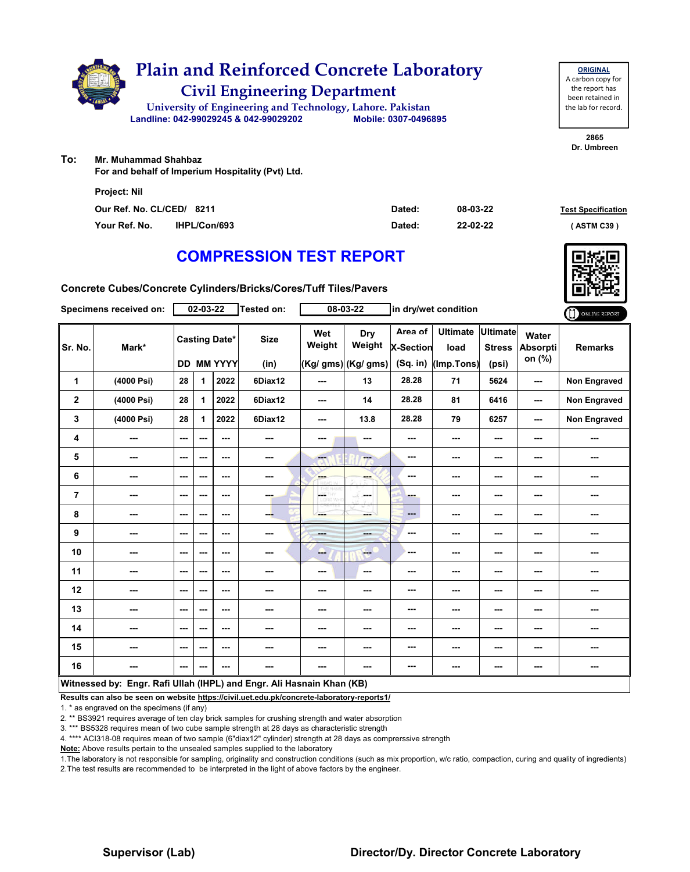

**2865** been retained in the lab for record.

**ORIGINAL** A carbon copy for the report has

**Dr. Umbreen**

**To: Mr. Muhammad Shahbaz**

**For and behalf of Imperium Hospitality (Pvt) Ltd.**

| <b>Project: Nil</b>       |                     |        |          |                           |
|---------------------------|---------------------|--------|----------|---------------------------|
| Our Ref. No. CL/CED/ 8211 |                     | Dated: | 08-03-22 | <b>Test Specification</b> |
| Your Ref. No.             | <b>IHPL/Con/693</b> | Dated: | 22-02-22 | (ASTM C39)                |

# **COMPRESSION TEST REPORT**

**Concrete Cubes/Concrete Cylinders/Bricks/Cores/Tuff Tiles/Pavers**

|                | Specimens received on:                                                |                          | 02-03-22 |                                           | <b>Tested on:</b>   |                       | 08-03-22                             | in dry/wet condition                      |                                       |                                           |                             | ONLINE REPORT       |
|----------------|-----------------------------------------------------------------------|--------------------------|----------|-------------------------------------------|---------------------|-----------------------|--------------------------------------|-------------------------------------------|---------------------------------------|-------------------------------------------|-----------------------------|---------------------|
| Sr. No.        | Mark*                                                                 |                          |          | <b>Casting Date*</b><br><b>DD MM YYYY</b> | <b>Size</b><br>(in) | Wet<br>Weight         | Dry<br>Weight<br>(Kg/ gms) (Kg/ gms) | Area of<br><b>X-Section</b><br>$(Sq.$ in) | <b>Ultimate</b><br>load<br>(Imp.Tons) | <b>Ultimate</b><br><b>Stress</b><br>(psi) | Water<br>Absorpti<br>on (%) | <b>Remarks</b>      |
| 1              | (4000 Psi)                                                            | 28                       | 1        | 2022                                      | 6Diax12             | ---                   | 13                                   | 28.28                                     | 71                                    | 5624                                      | ---                         | <b>Non Engraved</b> |
| $\mathbf 2$    | (4000 Psi)                                                            | 28                       | 1        | 2022                                      | 6Diax12             | ---                   | 14                                   | 28.28                                     | 81                                    | 6416                                      | ---                         | Non Engraved        |
| 3              | (4000 Psi)                                                            | 28                       | 1        | 2022                                      | 6Diax12             | ---                   | 13.8                                 | 28.28                                     | 79                                    | 6257                                      | ---                         | <b>Non Engraved</b> |
| 4              | $\sim$                                                                | $\overline{\phantom{a}}$ | ---      | $\sim$ $\sim$                             | ---                 | ---                   | ---                                  | ---                                       | ---                                   | ---                                       |                             | ---                 |
| 5              | ---                                                                   | $--$                     | ---      | $\sim$ $\sim$                             | ---                 | $-1$                  | ---                                  | $\sim$ $\sim$                             | ---                                   | ---                                       | ---                         | ---                 |
| 6              | ---                                                                   | $--$                     | ---      | $\overline{\phantom{a}}$                  | $\sim$              | ---                   | ---                                  | ---                                       | ---                                   | ---                                       | ---                         | ---                 |
| $\overline{7}$ | ---                                                                   | $\overline{\phantom{a}}$ | ---      | $\sim$ $\sim$                             | ---                 | LGS.<br><b>D.Wins</b> | ---                                  | ---                                       | ---                                   | ---                                       | ---                         | ---                 |
| 8              | ---                                                                   | $--$                     | ---      | ---                                       | ---                 | ---                   | ---                                  | $---$                                     | ---                                   | ---                                       | ---                         | ---                 |
| 9              | ---                                                                   | $\overline{\phantom{a}}$ | ---      | $\sim$ $\sim$                             | ---                 | ---                   | ---                                  | ---                                       | ---                                   | ---                                       | ---                         | ---                 |
| 10             | $\overline{\phantom{a}}$                                              | $\sim$                   | ---      | $\sim$ $\sim$                             | ---                 | ---                   | <b>Free</b>                          | ---                                       | ---                                   | $\overline{\phantom{a}}$                  | ---                         | ---                 |
| 11             | ---                                                                   | $\overline{\phantom{a}}$ | ---      | $\overline{\phantom{a}}$                  | ---                 | ---                   | $\overline{\phantom{a}}$             | ---                                       | ---                                   | ---                                       |                             | ---                 |
| 12             | ---                                                                   | ---                      | ---      | ---                                       | ---                 | ---                   |                                      | ---                                       | ---                                   | ---                                       | ---                         | ---                 |
| 13             | ---                                                                   | $\overline{\phantom{a}}$ | ---      | ---                                       | ---                 | ---                   | ---                                  | ---                                       | ---                                   | ---                                       | ---                         | ---                 |
| 14             | ---                                                                   | $\sim$ $\sim$            | ---      | $\sim$ $\sim$                             | ---                 | ---                   | ---                                  | ---                                       | ---                                   | ---                                       | ---                         | ---                 |
| 15             | ---                                                                   | ---                      | ---      | $\overline{\phantom{a}}$                  | ---                 | ---                   | ---                                  | ---                                       | ---                                   | ---                                       | ---                         | ---                 |
| 16             | ---                                                                   | $--$                     | ---      | ---                                       | ---                 | ---                   | ---                                  | ---                                       | ---                                   | ---                                       | ---                         | ---                 |
|                | Witnessed by: Engr. Rafi Ullah (IHPL) and Engr. Ali Hasnain Khan (KB) |                          |          |                                           |                     |                       |                                      |                                           |                                       |                                           |                             |                     |

**Results can also be seen on website https://civil.uet.edu.pk/concrete-laboratory-reports1/**

1. \* as engraved on the specimens (if any)

2. \*\* BS3921 requires average of ten clay brick samples for crushing strength and water absorption

3. \*\*\* BS5328 requires mean of two cube sample strength at 28 days as characteristic strength

4. \*\*\*\* ACI318-08 requires mean of two sample (6"diax12" cylinder) strength at 28 days as comprerssive strength

**Note:** Above results pertain to the unsealed samples supplied to the laboratory

1.The laboratory is not responsible for sampling, originality and construction conditions (such as mix proportion, w/c ratio, compaction, curing and quality of ingredients) 2.The test results are recommended to be interpreted in the light of above factors by the engineer.

#### **Supervisor (Lab) Director/Dy. Director Concrete Laboratory**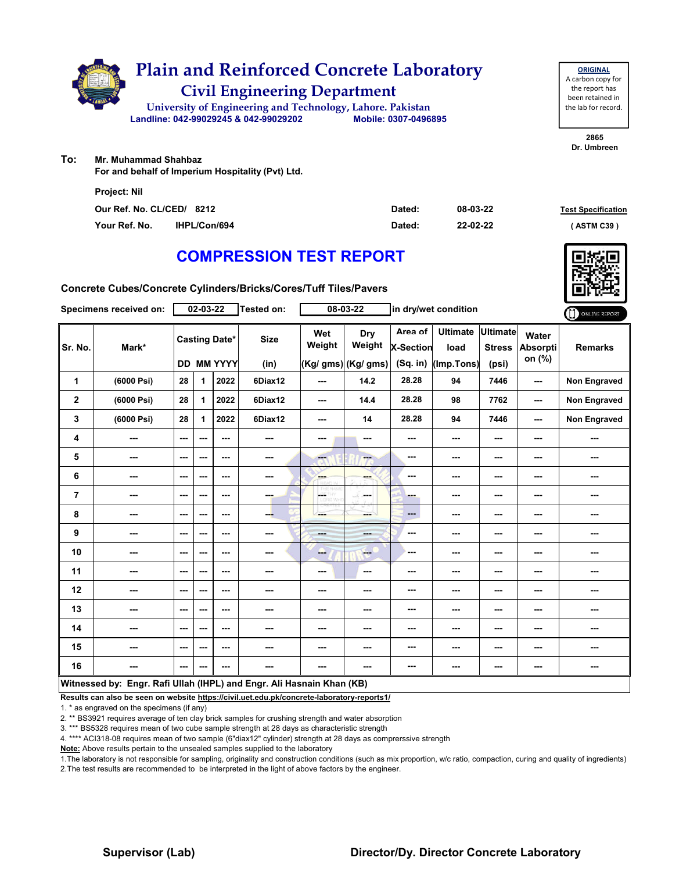

| <b>ORIGINAL</b>     |
|---------------------|
| A carbon copy for   |
| the report has      |
| been retained in    |
| the lab for record. |
|                     |

**To: Mr. Muhammad Shahbaz**

**For and behalf of Imperium Hospitality (Pvt) Ltd.**

| <b>Project: Nil</b>       |                     |        |          |                           |
|---------------------------|---------------------|--------|----------|---------------------------|
| Our Ref. No. CL/CED/ 8212 |                     | Dated: | 08-03-22 | <b>Test Specification</b> |
| Your Ref. No.             | <b>IHPL/Con/694</b> | Dated: | 22-02-22 | (ASTM C39)                |

## **COMPRESSION TEST REPORT**

**Concrete Cubes/Concrete Cylinders/Bricks/Cores/Tuff Tiles/Pavers**

|                         | Specimens received on:                                                |                          | 02-03-22 |                                           | <b>Tested on:</b>   |                       | 08-03-22                             | in dry/wet condition                      |                                       |                                           |                             | ONLINE REPORT       |
|-------------------------|-----------------------------------------------------------------------|--------------------------|----------|-------------------------------------------|---------------------|-----------------------|--------------------------------------|-------------------------------------------|---------------------------------------|-------------------------------------------|-----------------------------|---------------------|
| Sr. No.                 | Mark*                                                                 |                          |          | <b>Casting Date*</b><br><b>DD MM YYYY</b> | <b>Size</b><br>(in) | Wet<br>Weight         | Dry<br>Weight<br>(Kg/ gms) (Kg/ gms) | Area of<br><b>X-Section</b><br>$(Sq.$ in) | <b>Ultimate</b><br>load<br>(Imp.Tons) | <b>Ultimate</b><br><b>Stress</b><br>(psi) | Water<br>Absorpti<br>on (%) | <b>Remarks</b>      |
| 1                       | (6000 Psi)                                                            | 28                       | 1        | 2022                                      | 6Diax12             | ---                   | 14.2                                 | 28.28                                     | 94                                    | 7446                                      | ---                         | <b>Non Engraved</b> |
| $\overline{\mathbf{2}}$ | (6000 Psi)                                                            | 28                       | 1        | 2022                                      | 6Diax12             | ---                   | 14.4                                 | 28.28                                     | 98                                    | 7762                                      | ---                         | Non Engraved        |
| 3                       | (6000 Psi)                                                            | 28                       | 1        | 2022                                      | 6Diax12             | ---                   | 14                                   | 28.28                                     | 94                                    | 7446                                      | ---                         | Non Engraved        |
| 4                       | $\sim$                                                                | $\overline{\phantom{a}}$ | ---      | $\sim$ $\sim$                             | ---                 | ---                   | ---                                  | ---                                       | ---                                   | ---                                       |                             | ---                 |
| 5                       | ---                                                                   | $--$                     | ---      | $\sim$ $\sim$                             | ---                 | <b>Fee</b>            | ---                                  | $\sim$ $\sim$                             | ---                                   | ---                                       | ---                         | ---                 |
| 6                       | ---                                                                   | $--$                     | ---      | $\overline{\phantom{a}}$                  | $\sim$              | ---                   | ---                                  | ---                                       | ---                                   | ---                                       | ---                         | ---                 |
| $\overline{7}$          | ---                                                                   | $\overline{\phantom{a}}$ | ---      | $\sim$ $\sim$                             | ---                 | LGS.<br><b>D.Wins</b> | ---                                  | ---                                       | ---                                   | ---                                       | ---                         | ---                 |
| 8                       | ---                                                                   | $--$                     | ---      | ---                                       | ---                 | ---                   | ---                                  | $---$                                     | ---                                   | ---                                       | ---                         | ---                 |
| 9                       | ---                                                                   | $\overline{\phantom{a}}$ | ---      | ---                                       | ---                 | ---                   | ---                                  | ---                                       | ---                                   | ---                                       | ---                         | ---                 |
| 10                      | ---                                                                   | $\sim$                   | ---      | $\sim$ $\sim$                             | ---                 | --                    | <b>Free</b>                          | ---                                       | ---                                   | $\overline{\phantom{a}}$                  | ---                         | ---                 |
| 11                      | ---                                                                   | $--$                     | ---      | $\overline{\phantom{a}}$                  | ---                 | ---                   | $\overline{\phantom{a}}$             | ---                                       | ---                                   | ---                                       |                             | ---                 |
| 12                      | ---                                                                   | ---                      | ---      | ---                                       | ---                 | ---                   |                                      | ---                                       | ---                                   | ---                                       | ---                         | ---                 |
| 13                      | ---                                                                   | $\overline{\phantom{a}}$ | ---      | ---                                       | ---                 | ---                   | ---                                  | ---                                       | ---                                   | ---                                       | ---                         | ---                 |
| 14                      | ---                                                                   | $\sim$ $\sim$            | ---      | $\sim$ $\sim$                             | ---                 | ---                   | ---                                  | ---                                       | ---                                   | ---                                       | ---                         | ---                 |
| 15                      | ---                                                                   | ---                      | ---      | $\overline{\phantom{a}}$                  | ---                 | ---                   | ---                                  | ---                                       | ---                                   | ---                                       | ---                         | ---                 |
| 16                      | ---                                                                   | $--$                     | ---      | ---                                       | ---                 | ---                   | ---                                  | ---                                       | ---                                   | ---                                       | ---                         | ---                 |
|                         | Witnessed by: Engr. Rafi Ullah (IHPL) and Engr. Ali Hasnain Khan (KB) |                          |          |                                           |                     |                       |                                      |                                           |                                       |                                           |                             |                     |

**Results can also be seen on website https://civil.uet.edu.pk/concrete-laboratory-reports1/**

1. \* as engraved on the specimens (if any)

2. \*\* BS3921 requires average of ten clay brick samples for crushing strength and water absorption

3. \*\*\* BS5328 requires mean of two cube sample strength at 28 days as characteristic strength

4. \*\*\*\* ACI318-08 requires mean of two sample (6"diax12" cylinder) strength at 28 days as comprerssive strength

**Note:** Above results pertain to the unsealed samples supplied to the laboratory

1.The laboratory is not responsible for sampling, originality and construction conditions (such as mix proportion, w/c ratio, compaction, curing and quality of ingredients) 2.The test results are recommended to be interpreted in the light of above factors by the engineer.

#### **Supervisor (Lab) Director/Dy. Director Concrete Laboratory**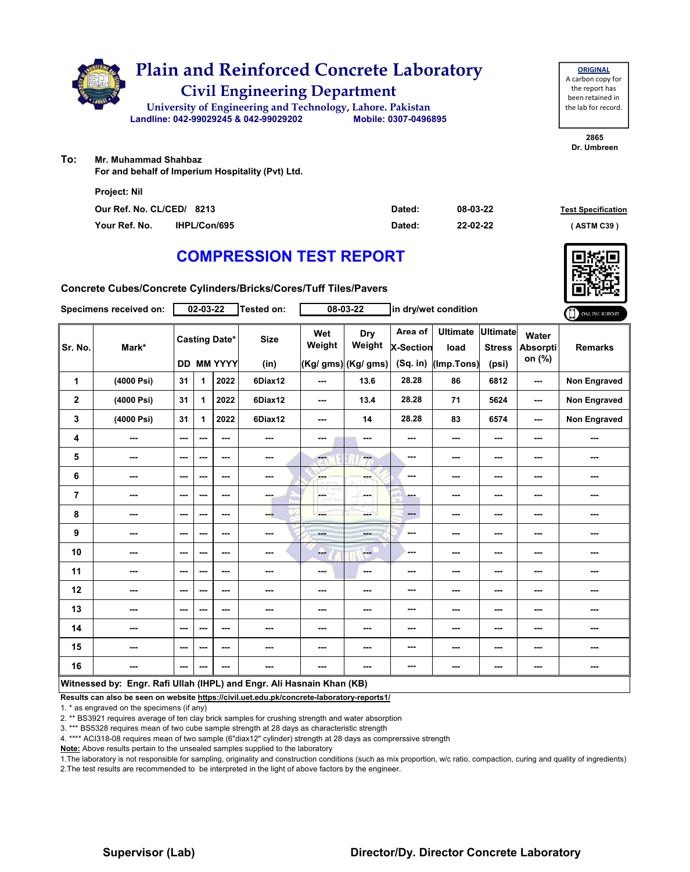

| <b>ORIGINAL</b>     |
|---------------------|
| A carbon copy for   |
| the report has      |
| been retained in    |
| the lab for record. |
|                     |

**To: Mr. Muhammad Shahbaz**

**For and behalf of Imperium Hospitality (Pvt) Ltd.**

| <b>Project: Nil</b>       |                     |        |          |                           |
|---------------------------|---------------------|--------|----------|---------------------------|
| Our Ref. No. CL/CED/ 8213 |                     | Dated: | 08-03-22 | <b>Test Specification</b> |
| Your Ref. No.             | <b>IHPL/Con/695</b> | Dated: | 22-02-22 | (ASTM C39)                |

## **COMPRESSION TEST REPORT**

**Concrete Cubes/Concrete Cylinders/Bricks/Cores/Tuff Tiles/Pavers**

|              | Specimens received on:                                                |      | 02-03-22 |                                    | <b>Tested on:</b>   |                | 08-03-22                             | in dry/wet condition                    |                                       |                                    |                             | ONLINE REPORT       |
|--------------|-----------------------------------------------------------------------|------|----------|------------------------------------|---------------------|----------------|--------------------------------------|-----------------------------------------|---------------------------------------|------------------------------------|-----------------------------|---------------------|
| Sr. No.      | Mark*                                                                 |      |          | <b>Casting Date*</b><br>DD MM YYYY | <b>Size</b><br>(in) | Wet<br>Weight  | Dry<br>Weight<br>(Kg/ gms) (Kg/ gms) | Area of<br><b>X-Section</b><br>(Sq. in) | <b>Ultimate</b><br>load<br>(Imp.Tons) | Ultimate<br><b>Stress</b><br>(psi) | Water<br>Absorpti<br>on (%) | <b>Remarks</b>      |
| 1            | (4000 Psi)                                                            | 31   | 1        | 2022                               | 6Diax12             | ---            | 13.6                                 | 28.28                                   | 86                                    | 6812                               | ---                         | <b>Non Engraved</b> |
| $\mathbf{2}$ | (4000 Psi)                                                            | 31   | 1.       | 2022                               | 6Diax12             | $--$           | 13.4                                 | 28.28                                   | 71                                    | 5624                               | ---                         | Non Engraved        |
| 3            | (4000 Psi)                                                            | 31   | 1        | 2022                               | 6Diax12             | ---            | 14                                   | 28.28                                   | 83                                    | 6574                               | ---                         | Non Engraved        |
| 4            | ---                                                                   | ---  | ---      | $-$                                | ---                 | ---            | ---                                  | ---                                     | ---                                   | ---                                | ---                         | ---                 |
| 5            | ---                                                                   | ---  | ---      | ---                                | ---                 | ---            | ---                                  | ---                                     | ---                                   | $--$                               | ---                         | ---                 |
| 6            | ---                                                                   | ---  | ---      | ---                                | ---                 | <b>SHOP</b>    | ---                                  | ---                                     | ---                                   | ---                                | ---                         | ---                 |
| 7            | ---                                                                   | ---  | ---      | ---                                | ---                 | p.             | ---                                  | ---                                     | ---                                   | ---                                | ---                         | ---                 |
| 8            | ---                                                                   | $--$ | ---      | $\overline{\phantom{a}}$           | ---                 | ---            | ---                                  | $---$                                   | ---                                   | ---                                | ---                         | ---                 |
| 9            | ---                                                                   | ---  | ---      | ---                                | ---                 | <b>Barbara</b> | ---                                  | ---                                     | ---                                   | ---                                | ---                         | ---                 |
| 10           | ---                                                                   | $--$ | ---      | ---                                | ---                 | --             | <b>Free</b>                          | ---                                     | ---                                   | ---                                | ---                         | ---                 |
| 11           | ---                                                                   | $--$ | ---      | ---                                | ---                 | ---            | ---                                  | ---                                     | ---                                   | ---                                | ---                         | ---                 |
| 12           | ---                                                                   | ---  | ---      | ---                                | ---                 | ---            | ---                                  | ---                                     | ---                                   | ---                                | ---                         | ---                 |
| 13           | ---                                                                   | ---  | ---      | ---                                | ---                 | ---            | ---                                  | ---                                     | ---                                   | $--$                               | ---                         | ---                 |
| 14           | ---                                                                   | ---  | ---      | ---                                | ---                 | ---            | ---                                  | ---                                     | ---                                   | $--$                               | ---                         | ---                 |
| 15           | ---                                                                   | ---  | ---      | ---                                | ---                 | ---            | ---                                  | ---                                     | ---                                   | ---                                | ---                         |                     |
| 16           | ---                                                                   | ---  | ---      | ---                                | ---                 | ---            | ---                                  | ---                                     | ---                                   | ---                                | ---                         | ---                 |
|              | Witnessed by: Engr. Rafi Ullah (IHPL) and Engr. Ali Hasnain Khan (KB) |      |          |                                    |                     |                |                                      |                                         |                                       |                                    |                             |                     |

**Results can also be seen on website https://civil.uet.edu.pk/concrete-laboratory-reports1/**

1. \* as engraved on the specimens (if any)

2. \*\* BS3921 requires average of ten clay brick samples for crushing strength and water absorption

3. \*\*\* BS5328 requires mean of two cube sample strength at 28 days as characteristic strength

4. \*\*\*\* ACI318-08 requires mean of two sample (6"diax12" cylinder) strength at 28 days as comprerssive strength

**Note:** Above results pertain to the unsealed samples supplied to the laboratory

1.The laboratory is not responsible for sampling, originality and construction conditions (such as mix proportion, w/c ratio, compaction, curing and quality of ingredients) 2.The test results are recommended to be interpreted in the light of above factors by the engineer.